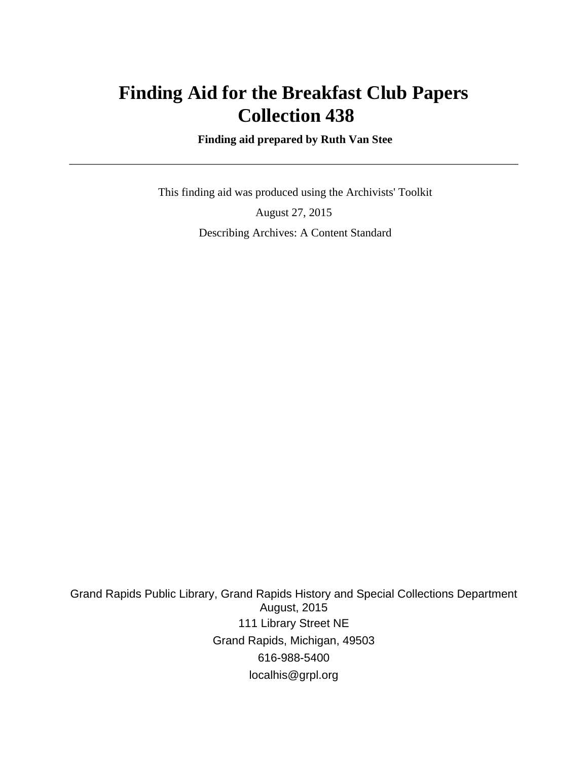## **Finding Aid for the Breakfast Club Papers Collection 438**

 **Finding aid prepared by Ruth Van Stee**

 This finding aid was produced using the Archivists' Toolkit August 27, 2015 Describing Archives: A Content Standard

Grand Rapids Public Library, Grand Rapids History and Special Collections Department August, 2015 111 Library Street NE Grand Rapids, Michigan, 49503 616-988-5400 localhis@grpl.org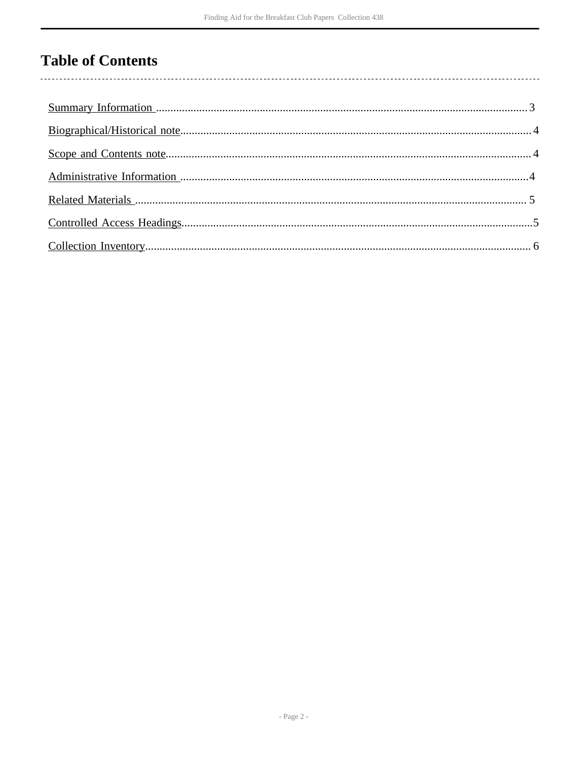## **Table of Contents**

 $\overline{\phantom{a}}$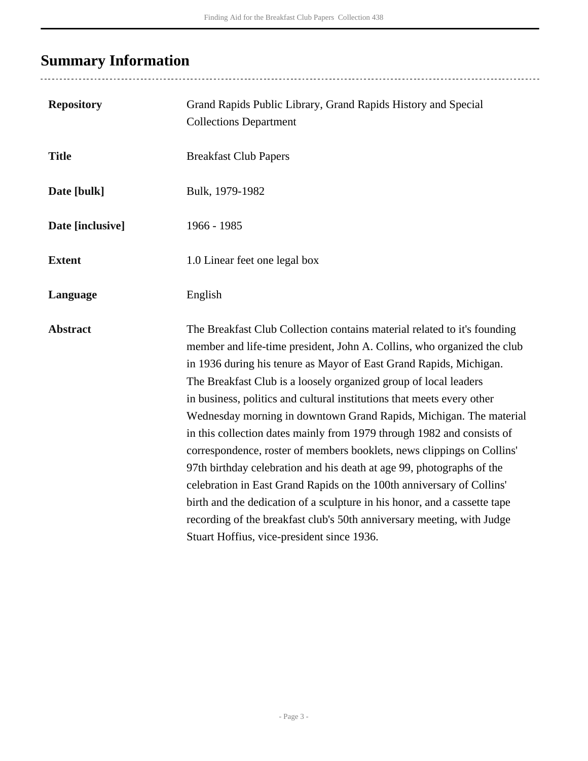# <span id="page-2-0"></span>**Summary Information**

| <b>Repository</b> | Grand Rapids Public Library, Grand Rapids History and Special<br><b>Collections Department</b>                                                                                                                                                                                                                                                                                                                                                                                                                                                                                                                                                                                                                                                                                                                                                                                                                                                           |
|-------------------|----------------------------------------------------------------------------------------------------------------------------------------------------------------------------------------------------------------------------------------------------------------------------------------------------------------------------------------------------------------------------------------------------------------------------------------------------------------------------------------------------------------------------------------------------------------------------------------------------------------------------------------------------------------------------------------------------------------------------------------------------------------------------------------------------------------------------------------------------------------------------------------------------------------------------------------------------------|
| <b>Title</b>      | <b>Breakfast Club Papers</b>                                                                                                                                                                                                                                                                                                                                                                                                                                                                                                                                                                                                                                                                                                                                                                                                                                                                                                                             |
| Date [bulk]       | Bulk, 1979-1982                                                                                                                                                                                                                                                                                                                                                                                                                                                                                                                                                                                                                                                                                                                                                                                                                                                                                                                                          |
| Date [inclusive]  | 1966 - 1985                                                                                                                                                                                                                                                                                                                                                                                                                                                                                                                                                                                                                                                                                                                                                                                                                                                                                                                                              |
| <b>Extent</b>     | 1.0 Linear feet one legal box                                                                                                                                                                                                                                                                                                                                                                                                                                                                                                                                                                                                                                                                                                                                                                                                                                                                                                                            |
| Language          | English                                                                                                                                                                                                                                                                                                                                                                                                                                                                                                                                                                                                                                                                                                                                                                                                                                                                                                                                                  |
| <b>Abstract</b>   | The Breakfast Club Collection contains material related to it's founding<br>member and life-time president, John A. Collins, who organized the club<br>in 1936 during his tenure as Mayor of East Grand Rapids, Michigan.<br>The Breakfast Club is a loosely organized group of local leaders<br>in business, politics and cultural institutions that meets every other<br>Wednesday morning in downtown Grand Rapids, Michigan. The material<br>in this collection dates mainly from 1979 through 1982 and consists of<br>correspondence, roster of members booklets, news clippings on Collins'<br>97th birthday celebration and his death at age 99, photographs of the<br>celebration in East Grand Rapids on the 100th anniversary of Collins'<br>birth and the dedication of a sculpture in his honor, and a cassette tape<br>recording of the breakfast club's 50th anniversary meeting, with Judge<br>Stuart Hoffius, vice-president since 1936. |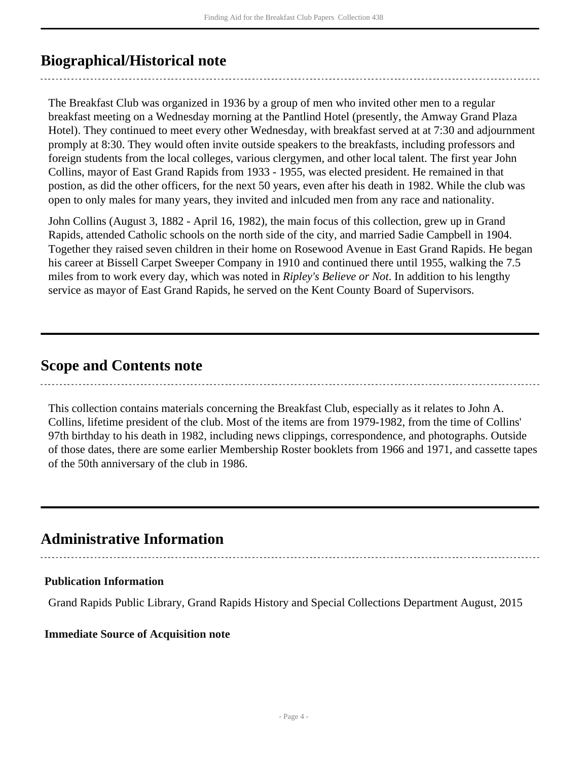### <span id="page-3-0"></span>**Biographical/Historical note**

The Breakfast Club was organized in 1936 by a group of men who invited other men to a regular breakfast meeting on a Wednesday morning at the Pantlind Hotel (presently, the Amway Grand Plaza Hotel). They continued to meet every other Wednesday, with breakfast served at at 7:30 and adjournment promply at 8:30. They would often invite outside speakers to the breakfasts, including professors and foreign students from the local colleges, various clergymen, and other local talent. The first year John Collins, mayor of East Grand Rapids from 1933 - 1955, was elected president. He remained in that postion, as did the other officers, for the next 50 years, even after his death in 1982. While the club was open to only males for many years, they invited and inlcuded men from any race and nationality.

John Collins (August 3, 1882 - April 16, 1982), the main focus of this collection, grew up in Grand Rapids, attended Catholic schools on the north side of the city, and married Sadie Campbell in 1904. Together they raised seven children in their home on Rosewood Avenue in East Grand Rapids. He began his career at Bissell Carpet Sweeper Company in 1910 and continued there until 1955, walking the 7.5 miles from to work every day, which was noted in *Ripley's Believe or Not*. In addition to his lengthy service as mayor of East Grand Rapids, he served on the Kent County Board of Supervisors.

### <span id="page-3-1"></span>**Scope and Contents note**

This collection contains materials concerning the Breakfast Club, especially as it relates to John A. Collins, lifetime president of the club. Most of the items are from 1979-1982, from the time of Collins' 97th birthday to his death in 1982, including news clippings, correspondence, and photographs. Outside of those dates, there are some earlier Membership Roster booklets from 1966 and 1971, and cassette tapes of the 50th anniversary of the club in 1986.

### <span id="page-3-2"></span>**Administrative Information**

#### **Publication Information**

Grand Rapids Public Library, Grand Rapids History and Special Collections Department August, 2015

#### **Immediate Source of Acquisition note**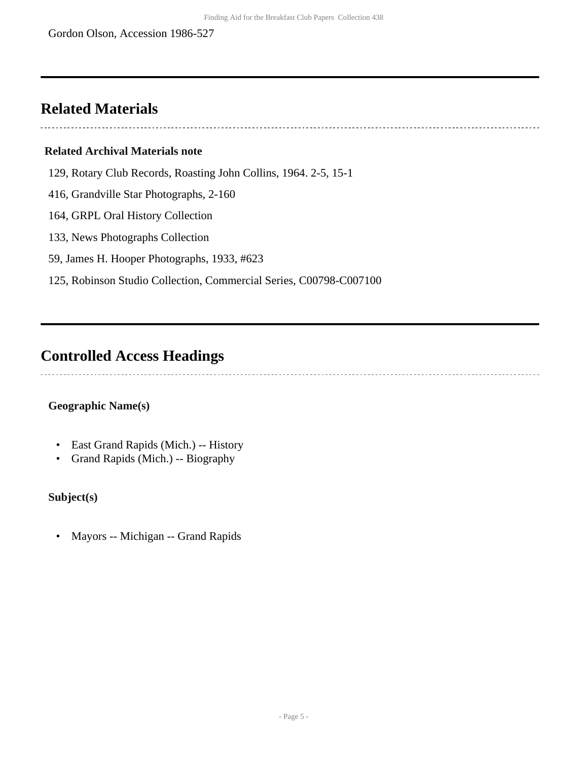### <span id="page-4-0"></span>**Related Materials**

#### **Related Archival Materials note**

129, Rotary Club Records, Roasting John Collins, 1964. 2-5, 15-1

416, Grandville Star Photographs, 2-160

164, GRPL Oral History Collection

133, News Photographs Collection

59, James H. Hooper Photographs, 1933, #623

125, Robinson Studio Collection, Commercial Series, C00798-C007100

### <span id="page-4-1"></span>**Controlled Access Headings**

#### **Geographic Name(s)**

- East Grand Rapids (Mich.) -- History
- Grand Rapids (Mich.) -- Biography

#### **Subject(s)**

• Mayors -- Michigan -- Grand Rapids